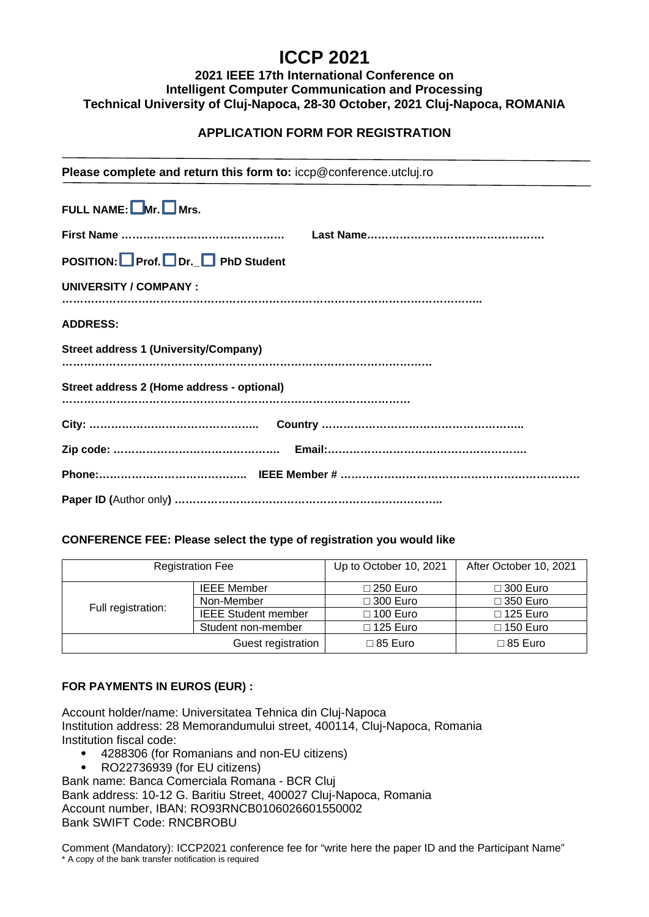# **ICCP 2021**

# **2021 IEEE 17th International Conference on Intelligent Computer Communication and Processing Technical University of Cluj-Napoca, 28-30 October, 2021 Cluj-Napoca, ROMANIA**

# **APPLICATION FORM FOR REGISTRATION**

| Please complete and return this form to: iccp@conference.utcluj.ro |  |  |  |  |
|--------------------------------------------------------------------|--|--|--|--|
| FULL NAME: $\Box$ Mr. $\Box$ Mrs.                                  |  |  |  |  |
|                                                                    |  |  |  |  |
| POSITION: Prof. DDr. □ PhD Student                                 |  |  |  |  |
| UNIVERSITY / COMPANY:                                              |  |  |  |  |
| <b>ADDRESS:</b>                                                    |  |  |  |  |
| <b>Street address 1 (University/Company)</b>                       |  |  |  |  |
| Street address 2 (Home address - optional)                         |  |  |  |  |
|                                                                    |  |  |  |  |
|                                                                    |  |  |  |  |
|                                                                    |  |  |  |  |
|                                                                    |  |  |  |  |

## **CONFERENCE FEE: Please select the type of registration you would like**

| <b>Registration Fee</b> |                            | Up to October 10, 2021 | After October 10, 2021 |
|-------------------------|----------------------------|------------------------|------------------------|
| Full registration:      | <b>IEEE Member</b>         | $\Box$ 250 Euro        | $\Box$ 300 Euro        |
|                         | Non-Member                 | $\Box$ 300 Euro        | $\Box$ 350 Euro        |
|                         | <b>IEEE Student member</b> | $\Box$ 100 Euro        | $\Box$ 125 Euro        |
|                         | Student non-member         | $\Box$ 125 Euro        | $\Box$ 150 Euro        |
| Guest registration      |                            | $\Box$ 85 Euro         | $\Box$ 85 Euro         |

### **FOR PAYMENTS IN EUROS (EUR) :**

Account holder/name: Universitatea Tehnica din Cluj-Napoca Institution address: 28 Memorandumului street, 400114, Cluj-Napoca, Romania Institution fiscal code:

- 4288306 (for Romanians and non-EU citizens)
- RO22736939 (for EU citizens)

Bank name: Banca Comerciala Romana - BCR Cluj Bank address: 10-12 G. Baritiu Street, 400027 Cluj-Napoca, Romania Account number, IBAN: RO93RNCB0106026601550002 Bank SWIFT Code: RNCBROBU

Comment (Mandatory): ICCP2021 conference fee for "write here the paper ID and the Participant Name" \* A copy of the bank transfer notification is required